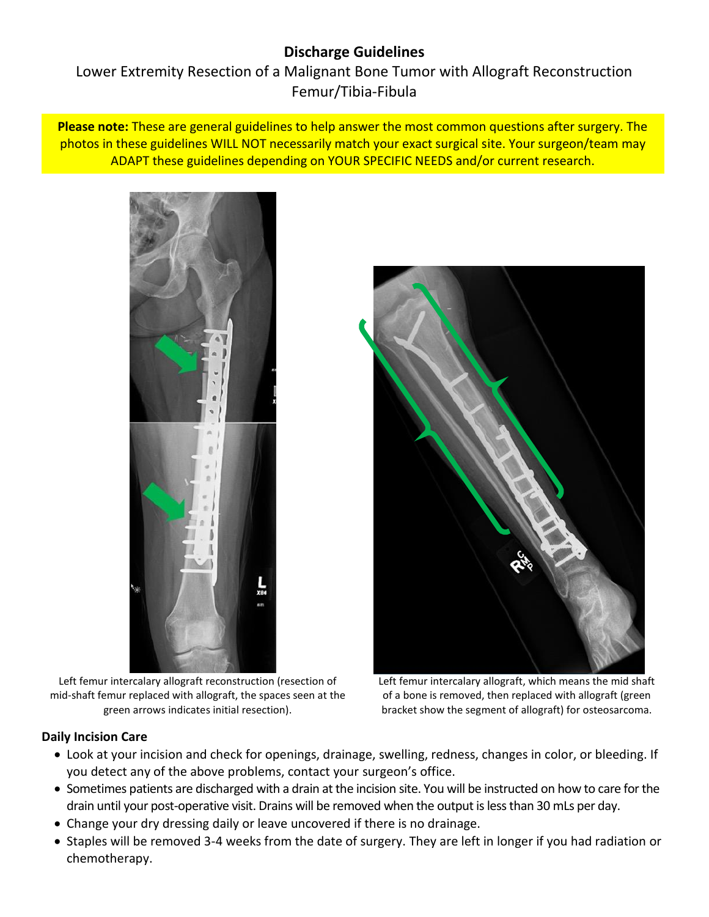# **Discharge Guidelines**

Lower Extremity Resection of a Malignant Bone Tumor with Allograft Reconstruction Femur/Tibia-Fibula

**Please note:** These are general guidelines to help answer the most common questions after surgery. The photos in these guidelines WILL NOT necessarily match your exact surgical site. Your surgeon/team may ADAPT these guidelines depending on YOUR SPECIFIC NEEDS and/or current research.



Left femur intercalary allograft reconstruction (resection of mid-shaft femur replaced with allograft, the spaces seen at the green arrows indicates initial resection).



Left femur intercalary allograft, which means the mid shaft of a bone is removed, then replaced with allograft (green bracket show the segment of allograft) for osteosarcoma.

#### **Daily Incision Care**

- Look at your incision and check for openings, drainage, swelling, redness, changes in color, or bleeding. If you detect any of the above problems, contact your surgeon's office.
- Sometimes patients are discharged with a drain at the incision site. You will be instructed on how to care for the drain until your post-operative visit. Drains will be removed when the output is less than 30 mLs per day.
- Change your dry dressing daily or leave uncovered if there is no drainage.
- Staples will be removed 3-4 weeks from the date of surgery. They are left in longer if you had radiation or chemotherapy.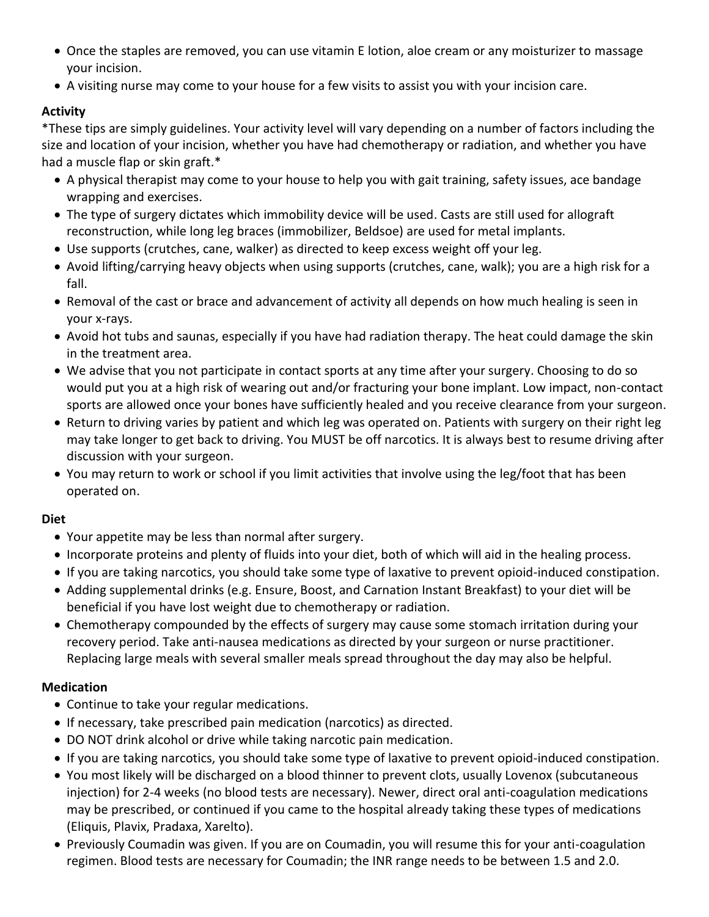- Once the staples are removed, you can use vitamin E lotion, aloe cream or any moisturizer to massage your incision.
- A visiting nurse may come to your house for a few visits to assist you with your incision care.

# **Activity**

\*These tips are simply guidelines. Your activity level will vary depending on a number of factors including the size and location of your incision, whether you have had chemotherapy or radiation, and whether you have had a muscle flap or skin graft.\*

- A physical therapist may come to your house to help you with gait training, safety issues, ace bandage wrapping and exercises.
- The type of surgery dictates which immobility device will be used. Casts are still used for allograft reconstruction, while long leg braces (immobilizer, Beldsoe) are used for metal implants.
- Use supports (crutches, cane, walker) as directed to keep excess weight off your leg.
- Avoid lifting/carrying heavy objects when using supports (crutches, cane, walk); you are a high risk for a fall.
- Removal of the cast or brace and advancement of activity all depends on how much healing is seen in your x-rays.
- Avoid hot tubs and saunas, especially if you have had radiation therapy. The heat could damage the skin in the treatment area.
- We advise that you not participate in contact sports at any time after your surgery. Choosing to do so would put you at a high risk of wearing out and/or fracturing your bone implant. Low impact, non-contact sports are allowed once your bones have sufficiently healed and you receive clearance from your surgeon.
- Return to driving varies by patient and which leg was operated on. Patients with surgery on their right leg may take longer to get back to driving. You MUST be off narcotics. It is always best to resume driving after discussion with your surgeon.
- You may return to work or school if you limit activities that involve using the leg/foot that has been operated on.

# **Diet**

- Your appetite may be less than normal after surgery.
- Incorporate proteins and plenty of fluids into your diet, both of which will aid in the healing process.
- If you are taking narcotics, you should take some type of laxative to prevent opioid-induced constipation.
- Adding supplemental drinks (e.g. Ensure, Boost, and Carnation Instant Breakfast) to your diet will be beneficial if you have lost weight due to chemotherapy or radiation.
- Chemotherapy compounded by the effects of surgery may cause some stomach irritation during your recovery period. Take anti-nausea medications as directed by your surgeon or nurse practitioner. Replacing large meals with several smaller meals spread throughout the day may also be helpful.

# **Medication**

- Continue to take your regular medications.
- If necessary, take prescribed pain medication (narcotics) as directed.
- DO NOT drink alcohol or drive while taking narcotic pain medication.
- If you are taking narcotics, you should take some type of laxative to prevent opioid-induced constipation.
- You most likely will be discharged on a blood thinner to prevent clots, usually Lovenox (subcutaneous injection) for 2-4 weeks (no blood tests are necessary). Newer, direct oral anti-coagulation medications may be prescribed, or continued if you came to the hospital already taking these types of medications (Eliquis, Plavix, Pradaxa, Xarelto).
- Previously Coumadin was given. If you are on Coumadin, you will resume this for your anti-coagulation regimen. Blood tests are necessary for Coumadin; the INR range needs to be between 1.5 and 2.0.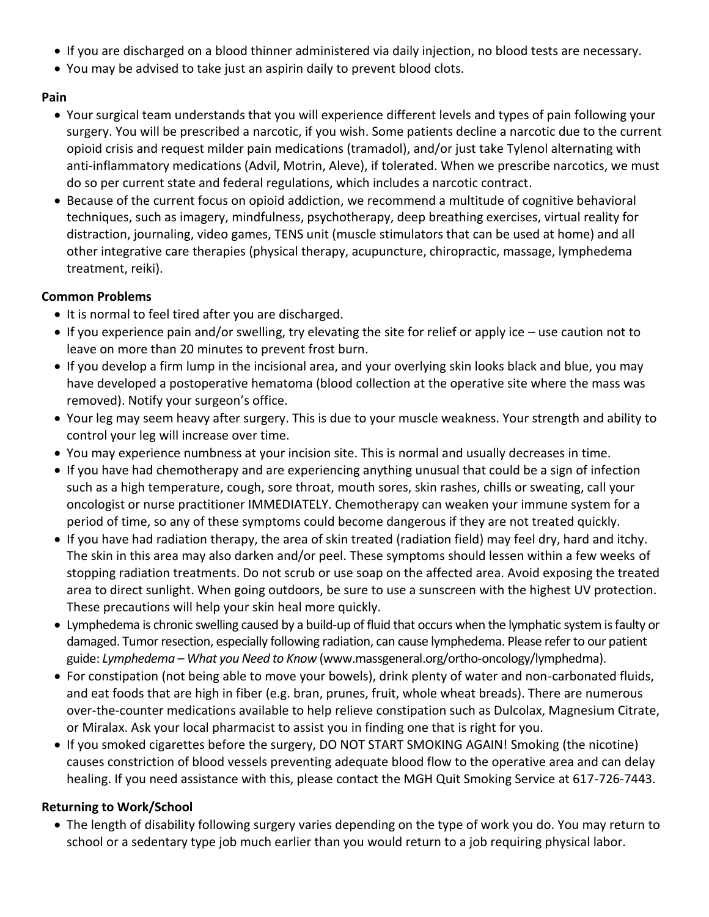- If you are discharged on a blood thinner administered via daily injection, no blood tests are necessary.
- You may be advised to take just an aspirin daily to prevent blood clots.

#### **Pain**

- Your surgical team understands that you will experience different levels and types of pain following your surgery. You will be prescribed a narcotic, if you wish. Some patients decline a narcotic due to the current opioid crisis and request milder pain medications (tramadol), and/or just take Tylenol alternating with anti-inflammatory medications (Advil, Motrin, Aleve), if tolerated. When we prescribe narcotics, we must do so per current state and federal regulations, which includes a narcotic contract.
- Because of the current focus on opioid addiction, we recommend a multitude of cognitive behavioral techniques, such as imagery, mindfulness, psychotherapy, deep breathing exercises, virtual reality for distraction, journaling, video games, TENS unit (muscle stimulators that can be used at home) and all other integrative care therapies (physical therapy, acupuncture, chiropractic, massage, lymphedema treatment, reiki).

# **Common Problems**

- It is normal to feel tired after you are discharged.
- If you experience pain and/or swelling, try elevating the site for relief or apply ice use caution not to leave on more than 20 minutes to prevent frost burn.
- If you develop a firm lump in the incisional area, and your overlying skin looks black and blue, you may have developed a postoperative hematoma (blood collection at the operative site where the mass was removed). Notify your surgeon's office.
- Your leg may seem heavy after surgery. This is due to your muscle weakness. Your strength and ability to control your leg will increase over time.
- You may experience numbness at your incision site. This is normal and usually decreases in time.
- If you have had chemotherapy and are experiencing anything unusual that could be a sign of infection such as a high temperature, cough, sore throat, mouth sores, skin rashes, chills or sweating, call your oncologist or nurse practitioner IMMEDIATELY. Chemotherapy can weaken your immune system for a period of time, so any of these symptoms could become dangerous if they are not treated quickly.
- If you have had radiation therapy, the area of skin treated (radiation field) may feel dry, hard and itchy. The skin in this area may also darken and/or peel. These symptoms should lessen within a few weeks of stopping radiation treatments. Do not scrub or use soap on the affected area. Avoid exposing the treated area to direct sunlight. When going outdoors, be sure to use a sunscreen with the highest UV protection. These precautions will help your skin heal more quickly.
- Lymphedema is chronic swelling caused by a build-up of fluid that occurs when the lymphatic system is faulty or damaged. Tumor resection, especially following radiation, can cause lymphedema. Please refer to our patient guide: *Lymphedema – What you Need to Know* (www.massgeneral.org/ortho-oncology/lymphedma).
- For constipation (not being able to move your bowels), drink plenty of water and non-carbonated fluids, and eat foods that are high in fiber (e.g. bran, prunes, fruit, whole wheat breads). There are numerous over-the-counter medications available to help relieve constipation such as Dulcolax, Magnesium Citrate, or Miralax. Ask your local pharmacist to assist you in finding one that is right for you.
- If you smoked cigarettes before the surgery, DO NOT START SMOKING AGAIN! Smoking (the nicotine) causes constriction of blood vessels preventing adequate blood flow to the operative area and can delay healing. If you need assistance with this, please contact the MGH Quit Smoking Service at 617-726-7443.

# **Returning to Work/School**

 The length of disability following surgery varies depending on the type of work you do. You may return to school or a sedentary type job much earlier than you would return to a job requiring physical labor.